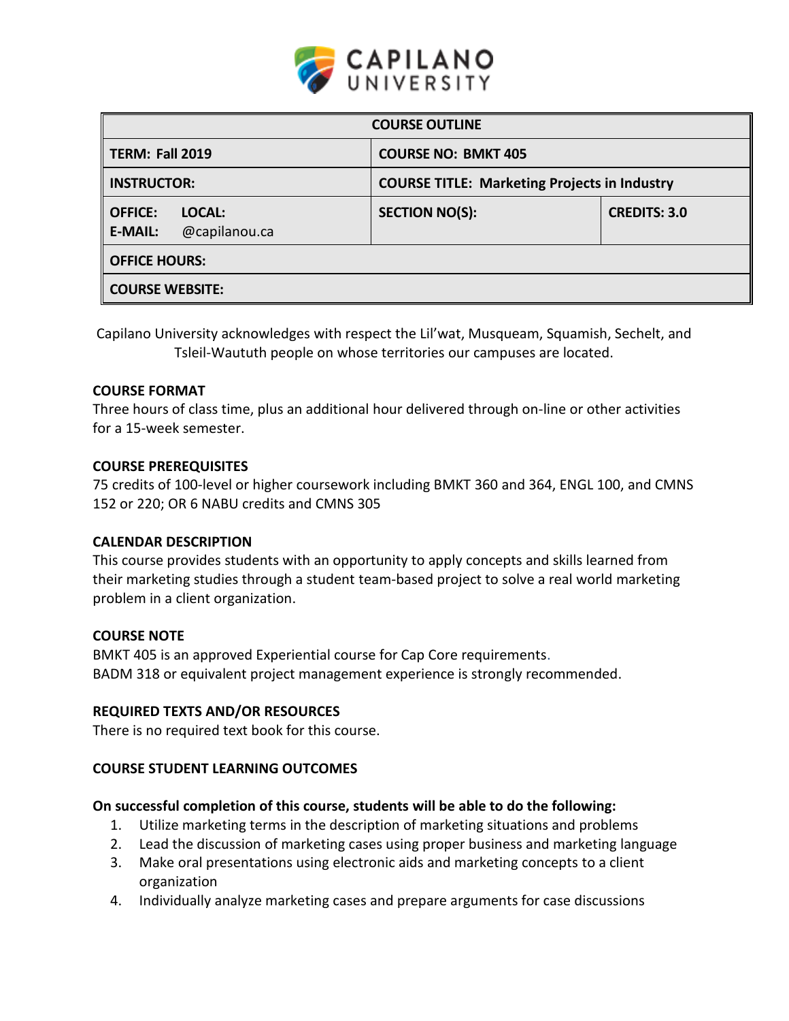

| <b>COURSE OUTLINE</b>                                       |                                                     |                     |  |  |  |
|-------------------------------------------------------------|-----------------------------------------------------|---------------------|--|--|--|
| <b>TERM: Fall 2019</b>                                      | <b>COURSE NO: BMKT 405</b>                          |                     |  |  |  |
| <b>INSTRUCTOR:</b>                                          | <b>COURSE TITLE: Marketing Projects in Industry</b> |                     |  |  |  |
| <b>OFFICE:</b><br>LOCAL:<br>@capilanou.ca<br><b>E-MAIL:</b> | <b>SECTION NO(S):</b>                               | <b>CREDITS: 3.0</b> |  |  |  |
| <b>OFFICE HOURS:</b>                                        |                                                     |                     |  |  |  |
| <b>COURSE WEBSITE:</b>                                      |                                                     |                     |  |  |  |

Capilano University acknowledges with respect the Lil'wat, Musqueam, Squamish, Sechelt, and Tsleil-Waututh people on whose territories our campuses are located.

## **COURSE FORMAT**

Three hours of class time, plus an additional hour delivered through on-line or other activities for a 15-week semester.

### **COURSE PREREQUISITES**

75 credits of 100-level or higher coursework including BMKT 360 and 364, ENGL 100, and CMNS 152 or 220; OR 6 NABU credits and CMNS 305

### **CALENDAR DESCRIPTION**

This course provides students with an opportunity to apply concepts and skills learned from their marketing studies through a student team-based project to solve a real world marketing problem in a client organization.

### **COURSE NOTE**

BMKT 405 is an approved Experiential course for Cap Core requirements. BADM 318 or equivalent project management experience is strongly recommended.

### **REQUIRED TEXTS AND/OR RESOURCES**

There is no required text book for this course.

# **COURSE STUDENT LEARNING OUTCOMES**

# **On successful completion of this course, students will be able to do the following:**

- 1. Utilize marketing terms in the description of marketing situations and problems
- 2. Lead the discussion of marketing cases using proper business and marketing language
- 3. Make oral presentations using electronic aids and marketing concepts to a client organization
- 4. Individually analyze marketing cases and prepare arguments for case discussions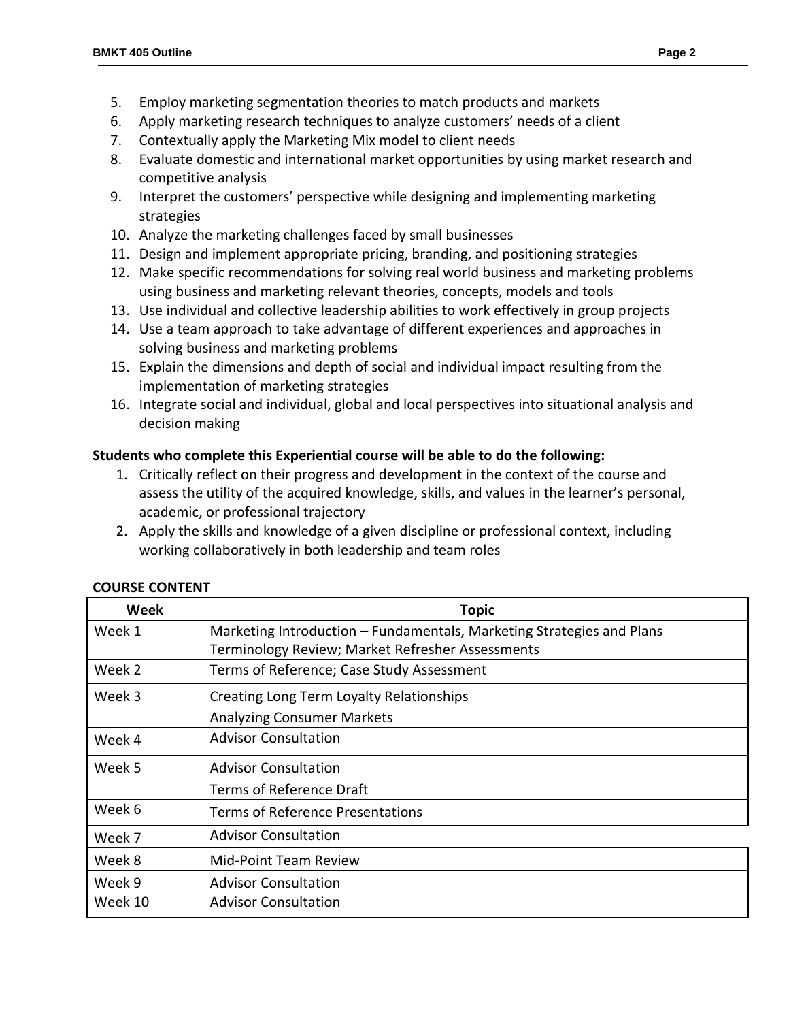- 5. Employ marketing segmentation theories to match products and markets
- 6. Apply marketing research techniques to analyze customers' needs of a client
- 7. Contextually apply the Marketing Mix model to client needs
- 8. Evaluate domestic and international market opportunities by using market research and competitive analysis
- 9. Interpret the customers' perspective while designing and implementing marketing strategies
- 10. Analyze the marketing challenges faced by small businesses
- 11. Design and implement appropriate pricing, branding, and positioning strategies
- 12. Make specific recommendations for solving real world business and marketing problems using business and marketing relevant theories, concepts, models and tools
- 13. Use individual and collective leadership abilities to work effectively in group projects
- 14. Use a team approach to take advantage of different experiences and approaches in solving business and marketing problems
- 15. Explain the dimensions and depth of social and individual impact resulting from the implementation of marketing strategies
- 16. Integrate social and individual, global and local perspectives into situational analysis and decision making

# **Students who complete this Experiential course will be able to do the following:**

- 1. Critically reflect on their progress and development in the context of the course and assess the utility of the acquired knowledge, skills, and values in the learner's personal, academic, or professional trajectory
- 2. Apply the skills and knowledge of a given discipline or professional context, including working collaboratively in both leadership and team roles

| Week    | <b>Topic</b>                                                          |  |  |
|---------|-----------------------------------------------------------------------|--|--|
| Week 1  | Marketing Introduction - Fundamentals, Marketing Strategies and Plans |  |  |
|         | Terminology Review; Market Refresher Assessments                      |  |  |
| Week 2  | Terms of Reference; Case Study Assessment                             |  |  |
| Week 3  | Creating Long Term Loyalty Relationships                              |  |  |
|         | <b>Analyzing Consumer Markets</b>                                     |  |  |
| Week 4  | <b>Advisor Consultation</b>                                           |  |  |
| Week 5  | <b>Advisor Consultation</b>                                           |  |  |
|         | Terms of Reference Draft                                              |  |  |
| Week 6  | <b>Terms of Reference Presentations</b>                               |  |  |
| Week 7  | <b>Advisor Consultation</b>                                           |  |  |
| Week 8  | Mid-Point Team Review                                                 |  |  |
| Week 9  | <b>Advisor Consultation</b>                                           |  |  |
| Week 10 | <b>Advisor Consultation</b>                                           |  |  |

# **COURSE CONTENT**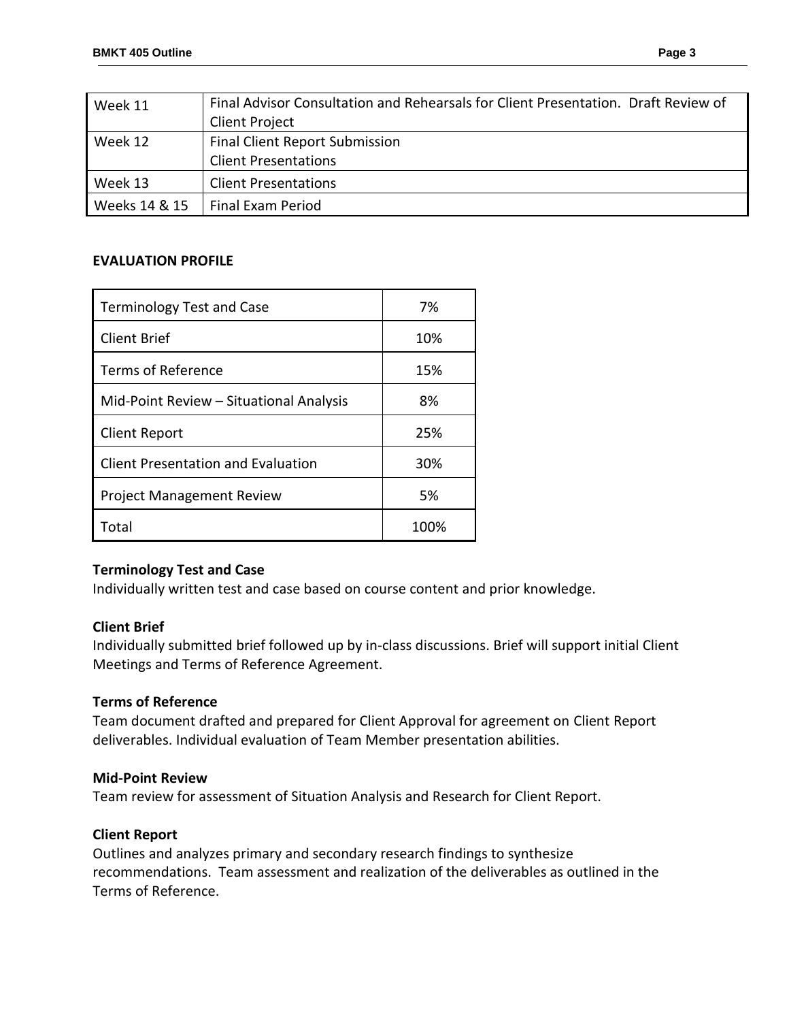| Week 11       | Final Advisor Consultation and Rehearsals for Client Presentation. Draft Review of |  |  |
|---------------|------------------------------------------------------------------------------------|--|--|
|               | Client Project                                                                     |  |  |
| Week 12       | <b>Final Client Report Submission</b>                                              |  |  |
|               | <b>Client Presentations</b>                                                        |  |  |
| Week 13       | <b>Client Presentations</b>                                                        |  |  |
| Weeks 14 & 15 | Final Exam Period                                                                  |  |  |

# **EVALUATION PROFILE**

| <b>Terminology Test and Case</b>          | 7%   |
|-------------------------------------------|------|
| <b>Client Brief</b>                       | 10%  |
| Terms of Reference                        | 15%  |
| Mid-Point Review - Situational Analysis   | 8%   |
| <b>Client Report</b>                      | 25%  |
| <b>Client Presentation and Evaluation</b> | 30%  |
| <b>Project Management Review</b>          | 5%   |
| Total                                     | 100% |

# **Terminology Test and Case**

Individually written test and case based on course content and prior knowledge.

# **Client Brief**

Individually submitted brief followed up by in-class discussions. Brief will support initial Client Meetings and Terms of Reference Agreement.

### **Terms of Reference**

Team document drafted and prepared for Client Approval for agreement on Client Report deliverables. Individual evaluation of Team Member presentation abilities.

### **Mid-Point Review**

Team review for assessment of Situation Analysis and Research for Client Report.

### **Client Report**

Outlines and analyzes primary and secondary research findings to synthesize recommendations. Team assessment and realization of the deliverables as outlined in the Terms of Reference.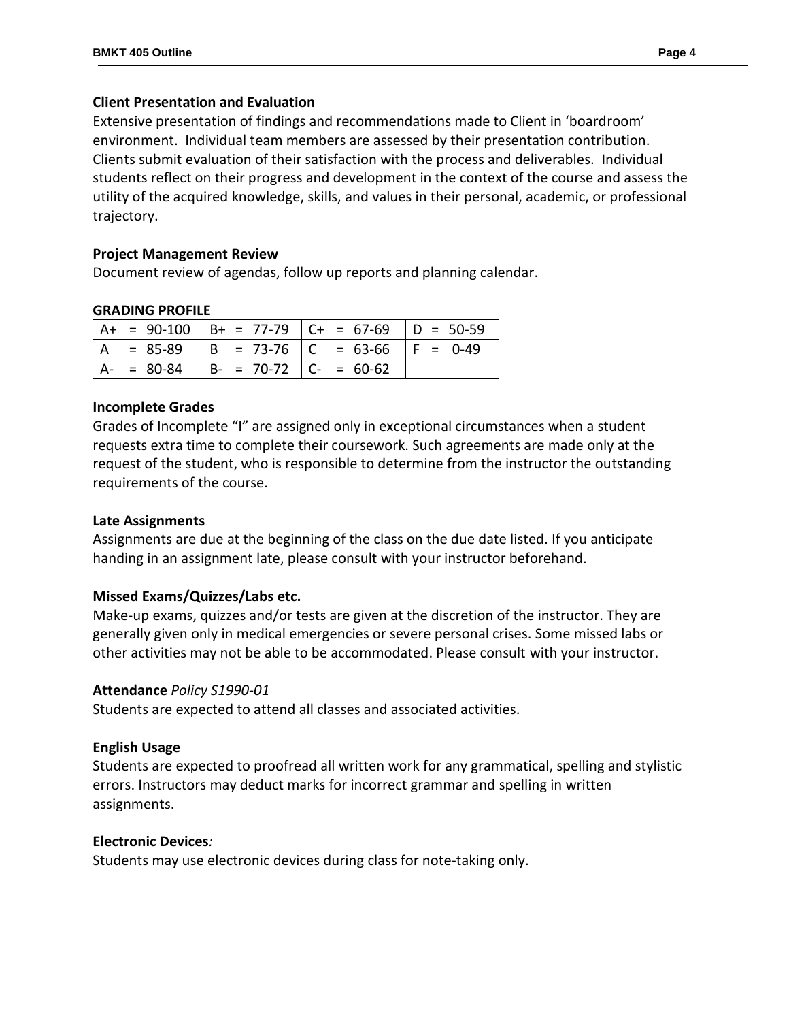# **Client Presentation and Evaluation**

Extensive presentation of findings and recommendations made to Client in 'boardroom' environment. Individual team members are assessed by their presentation contribution. Clients submit evaluation of their satisfaction with the process and deliverables. Individual students reflect on their progress and development in the context of the course and assess the utility of the acquired knowledge, skills, and values in their personal, academic, or professional trajectory.

## **Project Management Review**

Document review of agendas, follow up reports and planning calendar.

## **GRADING PROFILE**

|               |                               | $  A + = 90-100   B + = 77-79   C + = 67-69   D = 50-59$ |  |
|---------------|-------------------------------|----------------------------------------------------------|--|
|               |                               | $ A = 85-89$ $ B = 73-76$ $ C = 63-66$ $ F = 0-49$       |  |
| $A - = 80-84$ | $  B - = 70-72   C - = 60-62$ |                                                          |  |

## **Incomplete Grades**

Grades of Incomplete "I" are assigned only in exceptional circumstances when a student requests extra time to complete their coursework. Such agreements are made only at the request of the student, who is responsible to determine from the instructor the outstanding requirements of the course.

# **Late Assignments**

Assignments are due at the beginning of the class on the due date listed. If you anticipate handing in an assignment late, please consult with your instructor beforehand.

# **Missed Exams/Quizzes/Labs etc.**

Make-up exams, quizzes and/or tests are given at the discretion of the instructor. They are generally given only in medical emergencies or severe personal crises. Some missed labs or other activities may not be able to be accommodated. Please consult with your instructor.

### **Attendance** *Policy S1990-01*

Students are expected to attend all classes and associated activities.

# **English Usage**

Students are expected to proofread all written work for any grammatical, spelling and stylistic errors. Instructors may deduct marks for incorrect grammar and spelling in written assignments.

### **Electronic Devices***:*

Students may use electronic devices during class for note-taking only.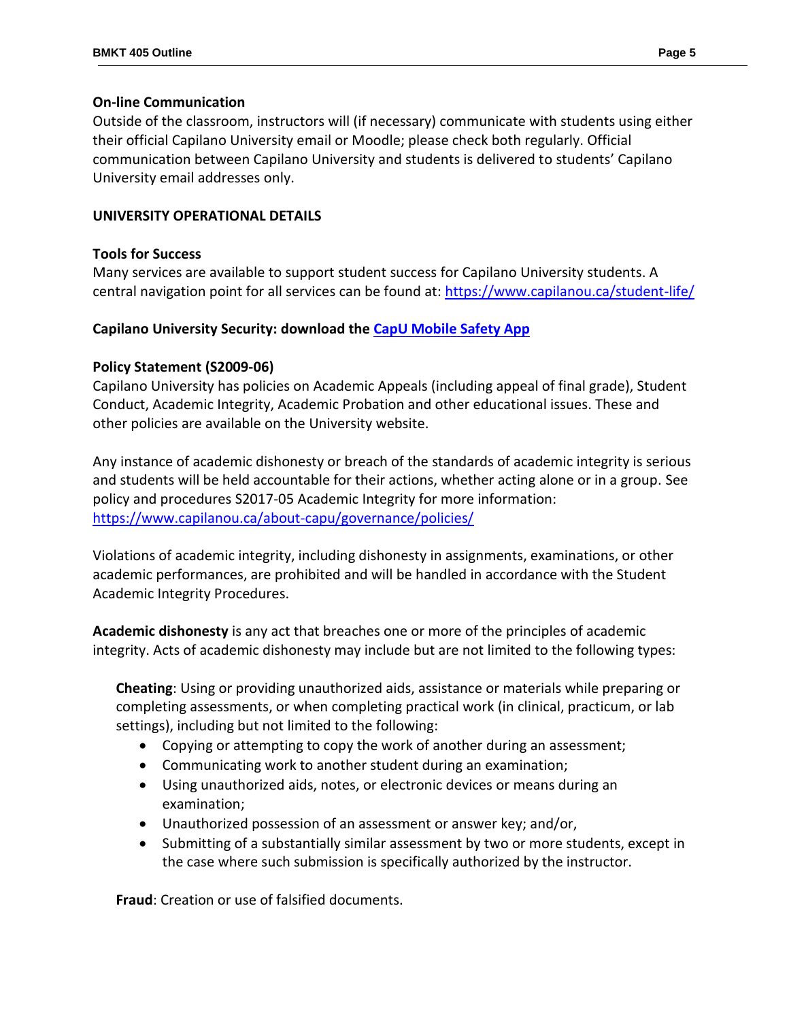## **On-line Communication**

Outside of the classroom, instructors will (if necessary) communicate with students using either their official Capilano University email or Moodle; please check both regularly. Official communication between Capilano University and students is delivered to students' Capilano University email addresses only.

# **UNIVERSITY OPERATIONAL DETAILS**

# **Tools for Success**

Many services are available to support student success for Capilano University students. A central navigation point for all services can be found at: <https://www.capilanou.ca/student-life/>

# **Capilano University Security: download the CapU [Mobile Safety App](https://www.capilanou.ca/student-life/support--wellness/safety--security/capu-safe-app/)**

# **Policy Statement (S2009-06)**

Capilano University has policies on Academic Appeals (including appeal of final grade), Student Conduct, Academic Integrity, Academic Probation and other educational issues. These and other policies are available on the University website.

Any instance of academic dishonesty or breach of the standards of academic integrity is serious and students will be held accountable for their actions, whether acting alone or in a group. See policy and procedures S2017-05 Academic Integrity for more information: <https://www.capilanou.ca/about-capu/governance/policies/>

Violations of academic integrity, including dishonesty in assignments, examinations, or other academic performances, are prohibited and will be handled in accordance with the Student Academic Integrity Procedures.

**Academic dishonesty** is any act that breaches one or more of the principles of academic integrity. Acts of academic dishonesty may include but are not limited to the following types:

**Cheating**: Using or providing unauthorized aids, assistance or materials while preparing or completing assessments, or when completing practical work (in clinical, practicum, or lab settings), including but not limited to the following:

- Copying or attempting to copy the work of another during an assessment;
- Communicating work to another student during an examination;
- Using unauthorized aids, notes, or electronic devices or means during an examination;
- Unauthorized possession of an assessment or answer key; and/or,
- Submitting of a substantially similar assessment by two or more students, except in the case where such submission is specifically authorized by the instructor.

**Fraud**: Creation or use of falsified documents.